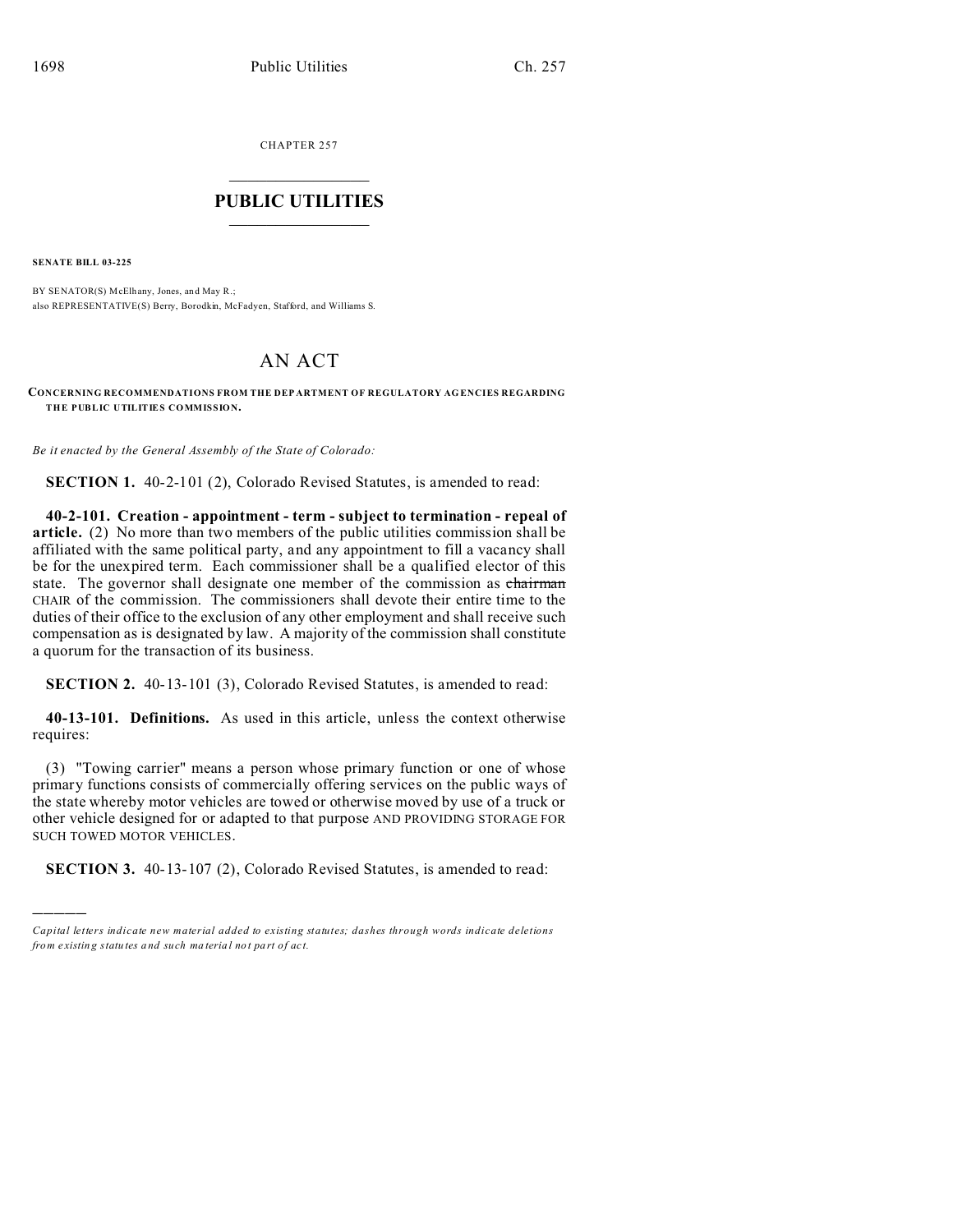CHAPTER 257  $\overline{\phantom{a}}$  , where  $\overline{\phantom{a}}$ 

## **PUBLIC UTILITIES**  $\frac{1}{\sqrt{2}}$  ,  $\frac{1}{\sqrt{2}}$  ,  $\frac{1}{\sqrt{2}}$  ,  $\frac{1}{\sqrt{2}}$  ,  $\frac{1}{\sqrt{2}}$  ,  $\frac{1}{\sqrt{2}}$

**SENATE BILL 03-225**

)))))

BY SENATOR(S) McElhany, Jones, and May R.; also REPRESENTATIVE(S) Berry, Borodkin, McFadyen, Stafford, and Williams S.

## AN ACT

**CONCERNING RECOMMENDATIONS FROM THE DEP ARTMENT OF REGULATORY AG ENCIES REGARDING THE PUBLIC UTILITIES COMMISSION.**

*Be it enacted by the General Assembly of the State of Colorado:*

**SECTION 1.** 40-2-101 (2), Colorado Revised Statutes, is amended to read:

**40-2-101. Creation - appointment - term - subject to termination - repeal of article.** (2) No more than two members of the public utilities commission shall be affiliated with the same political party, and any appointment to fill a vacancy shall be for the unexpired term. Each commissioner shall be a qualified elector of this state. The governor shall designate one member of the commission as chairman CHAIR of the commission. The commissioners shall devote their entire time to the duties of their office to the exclusion of any other employment and shall receive such compensation as is designated by law. A majority of the commission shall constitute a quorum for the transaction of its business.

**SECTION 2.** 40-13-101 (3), Colorado Revised Statutes, is amended to read:

**40-13-101. Definitions.** As used in this article, unless the context otherwise requires:

(3) "Towing carrier" means a person whose primary function or one of whose primary functions consists of commercially offering services on the public ways of the state whereby motor vehicles are towed or otherwise moved by use of a truck or other vehicle designed for or adapted to that purpose AND PROVIDING STORAGE FOR SUCH TOWED MOTOR VEHICLES.

**SECTION 3.** 40-13-107 (2), Colorado Revised Statutes, is amended to read:

*Capital letters indicate new material added to existing statutes; dashes through words indicate deletions from e xistin g statu tes a nd such ma teria l no t pa rt of ac t.*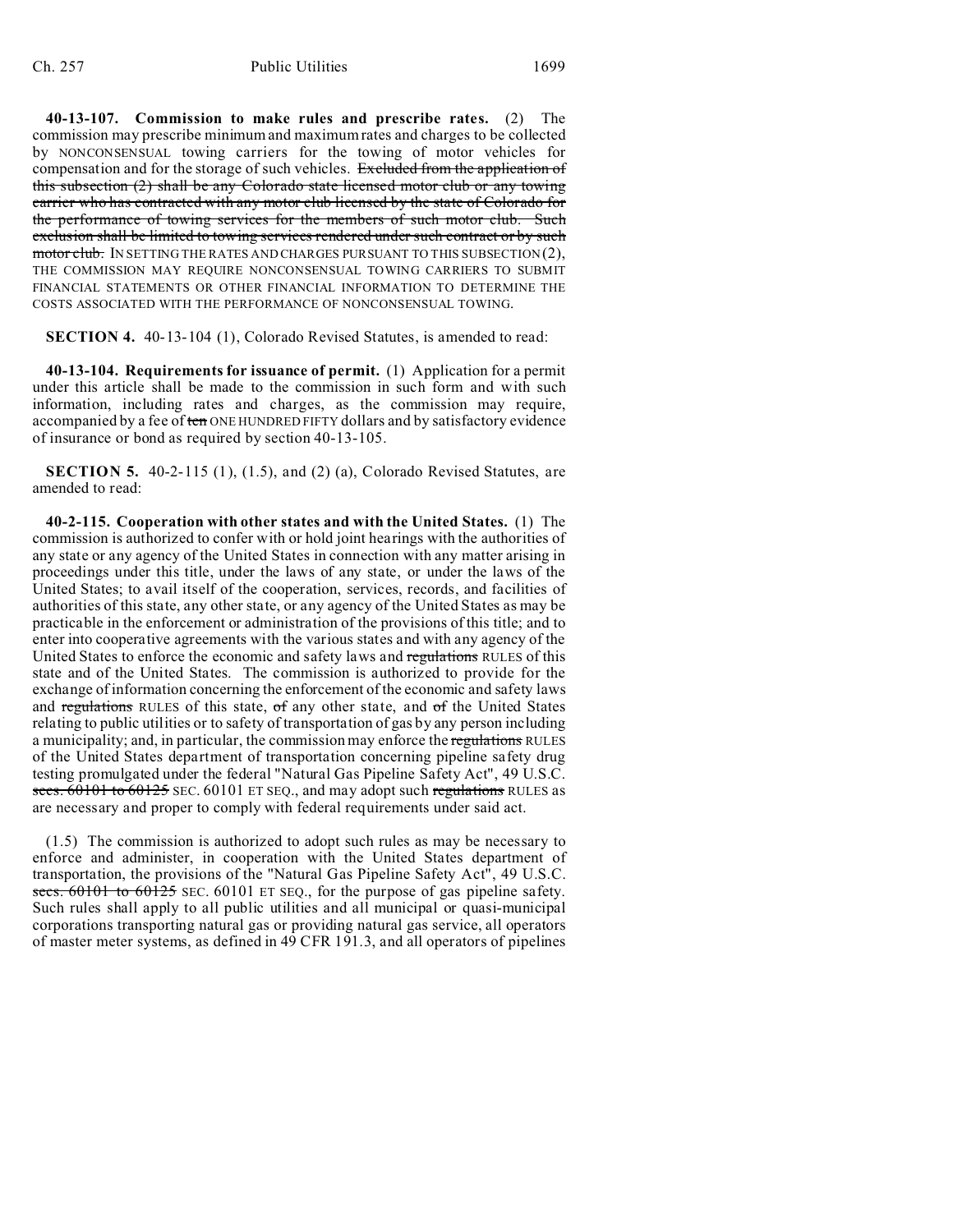**40-13-107. Commission to make rules and prescribe rates.** (2) The commission may prescribe minimum and maximum rates and charges to be collected by NONCONSENSUAL towing carriers for the towing of motor vehicles for compensation and for the storage of such vehicles. Excluded from the application of this subsection (2) shall be any Colorado state licensed motor club or any towing carrier who has contracted with any motor club licensed by the state of Colorado for the performance of towing services for the members of such motor club. Such exclusion shall be limited to towing services rendered under such contract or by such motor club. IN SETTING THE RATES AND CHARGES PURSUANT TO THIS SUBSECTION (2), THE COMMISSION MAY REQUIRE NONCONSENSUAL TOWING CARRIERS TO SUBMIT FINANCIAL STATEMENTS OR OTHER FINANCIAL INFORMATION TO DETERMINE THE COSTS ASSOCIATED WITH THE PERFORMANCE OF NONCONSENSUAL TOWING.

**SECTION 4.** 40-13-104 (1), Colorado Revised Statutes, is amended to read:

**40-13-104. Requirements for issuance of permit.** (1) Application for a permit under this article shall be made to the commission in such form and with such information, including rates and charges, as the commission may require, accompanied by a fee of ten ONE HUNDRED FIFTY dollars and by satisfactory evidence of insurance or bond as required by section 40-13-105.

**SECTION 5.** 40-2-115 (1), (1.5), and (2) (a), Colorado Revised Statutes, are amended to read:

**40-2-115. Cooperation with other states and with the United States.** (1) The commission is authorized to confer with or hold joint hearings with the authorities of any state or any agency of the United States in connection with any matter arising in proceedings under this title, under the laws of any state, or under the laws of the United States; to avail itself of the cooperation, services, records, and facilities of authorities of this state, any other state, or any agency of the United States as may be practicable in the enforcement or administration of the provisions of this title; and to enter into cooperative agreements with the various states and with any agency of the United States to enforce the economic and safety laws and regulations RULES of this state and of the United States. The commission is authorized to provide for the exchange of information concerning the enforcement of the economic and safety laws and regulations RULES of this state, of any other state, and of the United States relating to public utilities or to safety of transportation of gas by any person including a municipality; and, in particular, the commission may enforce the regulations RULES of the United States department of transportation concerning pipeline safety drug testing promulgated under the federal "Natural Gas Pipeline Safety Act", 49 U.S.C. secs.  $60101$  to  $60125$  SEC.  $60101$  ET SEQ., and may adopt such regulations RULES as are necessary and proper to comply with federal requirements under said act.

(1.5) The commission is authorized to adopt such rules as may be necessary to enforce and administer, in cooperation with the United States department of transportation, the provisions of the "Natural Gas Pipeline Safety Act", 49 U.S.C. secs. 60101 to 60125 SEC. 60101 ET SEQ., for the purpose of gas pipeline safety. Such rules shall apply to all public utilities and all municipal or quasi-municipal corporations transporting natural gas or providing natural gas service, all operators of master meter systems, as defined in 49 CFR 191.3, and all operators of pipelines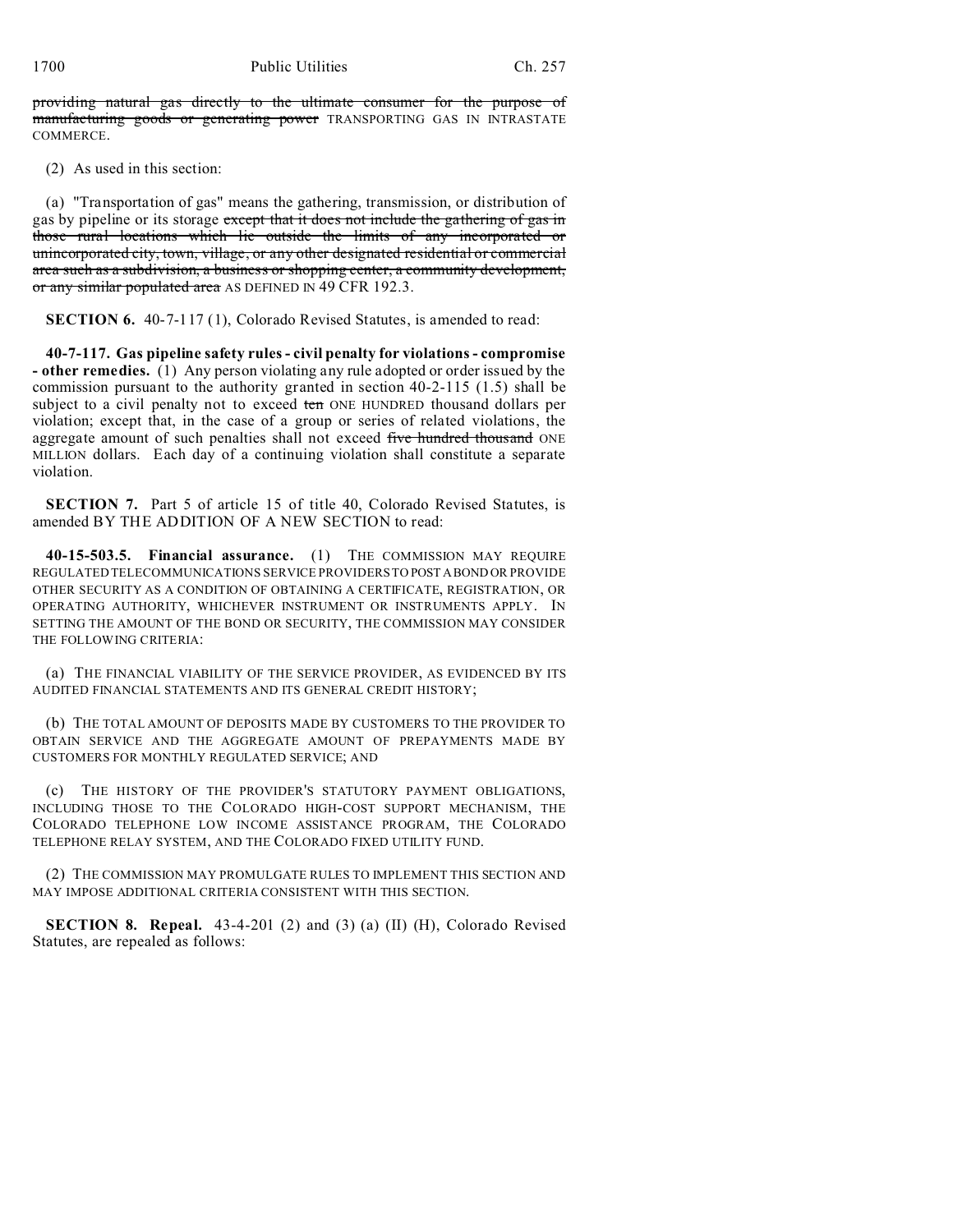providing natural gas directly to the ultimate consumer for the purpose of manufacturing goods or generating power TRANSPORTING GAS IN INTRASTATE COMMERCE.

(2) As used in this section:

(a) "Transportation of gas" means the gathering, transmission, or distribution of gas by pipeline or its storage except that it does not include the gathering of gas in those rural locations which lie outside the limits of any incorporated or unincorporated city, town, village, or any other designated residential or commercial area such as a subdivision, a business or shopping center, a community development, or any similar populated area AS DEFINED IN 49 CFR 192.3.

**SECTION 6.** 40-7-117 (1), Colorado Revised Statutes, is amended to read:

**40-7-117. Gas pipeline safety rules - civil penalty for violations - compromise - other remedies.** (1) Any person violating any rule adopted or order issued by the commission pursuant to the authority granted in section 40-2-115 (1.5) shall be subject to a civil penalty not to exceed ten ONE HUNDRED thousand dollars per violation; except that, in the case of a group or series of related violations, the aggregate amount of such penalties shall not exceed five hundred thousand ONE MILLION dollars. Each day of a continuing violation shall constitute a separate violation.

**SECTION 7.** Part 5 of article 15 of title 40, Colorado Revised Statutes, is amended BY THE ADDITION OF A NEW SECTION to read:

**40-15-503.5. Financial assurance.** (1) THE COMMISSION MAY REQUIRE REGULATED TELECOMMUNICATIONS SERVICE PROVIDERS TO POST ABOND OR PROVIDE OTHER SECURITY AS A CONDITION OF OBTAINING A CERTIFICATE, REGISTRATION, OR OPERATING AUTHORITY, WHICHEVER INSTRUMENT OR INSTRUMENTS APPLY. IN SETTING THE AMOUNT OF THE BOND OR SECURITY, THE COMMISSION MAY CONSIDER THE FOLLOWING CRITERIA:

(a) THE FINANCIAL VIABILITY OF THE SERVICE PROVIDER, AS EVIDENCED BY ITS AUDITED FINANCIAL STATEMENTS AND ITS GENERAL CREDIT HISTORY;

(b) THE TOTAL AMOUNT OF DEPOSITS MADE BY CUSTOMERS TO THE PROVIDER TO OBTAIN SERVICE AND THE AGGREGATE AMOUNT OF PREPAYMENTS MADE BY CUSTOMERS FOR MONTHLY REGULATED SERVICE; AND

(c) THE HISTORY OF THE PROVIDER'S STATUTORY PAYMENT OBLIGATIONS, INCLUDING THOSE TO THE COLORADO HIGH-COST SUPPORT MECHANISM, THE COLORADO TELEPHONE LOW INCOME ASSISTANCE PROGRAM, THE COLORADO TELEPHONE RELAY SYSTEM, AND THE COLORADO FIXED UTILITY FUND.

(2) THE COMMISSION MAY PROMULGATE RULES TO IMPLEMENT THIS SECTION AND MAY IMPOSE ADDITIONAL CRITERIA CONSISTENT WITH THIS SECTION.

**SECTION 8. Repeal.** 43-4-201 (2) and (3) (a) (II) (H), Colorado Revised Statutes, are repealed as follows: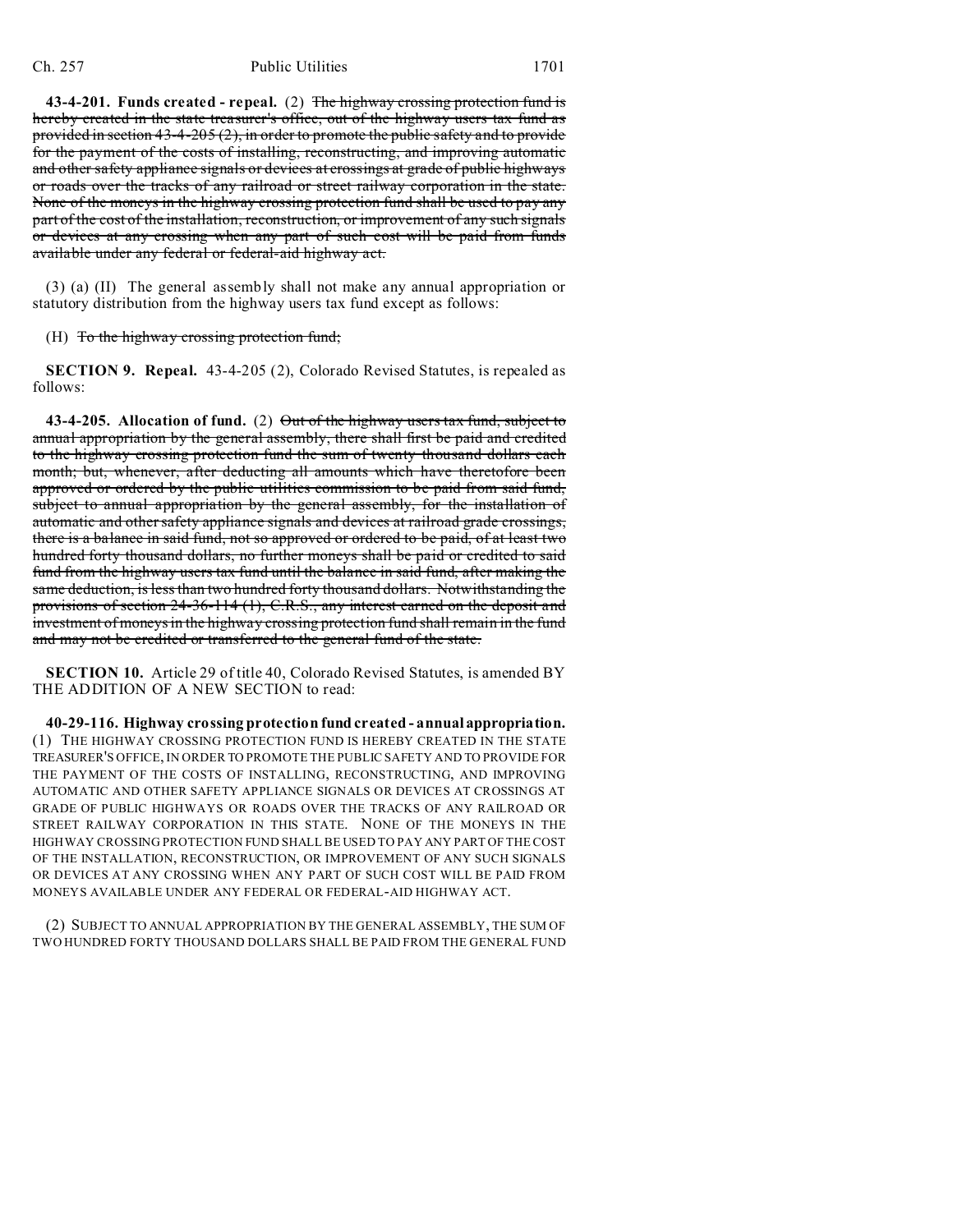**43-4-201. Funds created - repeal.** (2) The highway crossing protection fund is hereby created in the state treasurer's office, out of the highway users tax fund as provided in section 43-4-205 (2), in order to promote the public safety and to provide for the payment of the costs of installing, reconstructing, and improving automatic and other safety appliance signals or devices at crossings at grade of public highways or roads over the tracks of any railroad or street railway corporation in the state. None of the moneys in the highway crossing protection fund shall be used to pay any part of the cost of the installation, reconstruction, or improvement of any such signals or devices at any crossing when any part of such cost will be paid from funds available under any federal or federal-aid highway act.

(3) (a) (II) The general assembly shall not make any annual appropriation or statutory distribution from the highway users tax fund except as follows:

(H) To the highway crossing protection fund;

**SECTION 9. Repeal.** 43-4-205 (2), Colorado Revised Statutes, is repealed as follows:

**43-4-205. Allocation of fund.** (2) Out of the highway users tax fund, subject to annual appropriation by the general assembly, there shall first be paid and credited to the highway crossing protection fund the sum of twenty thousand dollars each month; but, whenever, after deducting all amounts which have theretofore been approved or ordered by the public utilities commission to be paid from said fund, subject to annual appropriation by the general assembly, for the installation of automatic and other safety appliance signals and devices at railroad grade crossings, there is a balance in said fund, not so approved or ordered to be paid, of at least two hundred forty thousand dollars, no further moneys shall be paid or credited to said fund from the highway users tax fund until the balance in said fund, after making the same deduction, is less than two hundred forty thousand dollars. Notwithstanding the provisions of section 24-36-114 (1), C.R.S., any interest earned on the deposit and investment of moneys in the highway crossing protection fund shall remain in the fund and may not be credited or transferred to the general fund of the state.

**SECTION 10.** Article 29 of title 40, Colorado Revised Statutes, is amended BY THE ADDITION OF A NEW SECTION to read:

**40-29-116. Highway crossing protection fund created - annual appropriation.** (1) THE HIGHWAY CROSSING PROTECTION FUND IS HEREBY CREATED IN THE STATE TREASURER'S OFFICE, IN ORDER TO PROMOTE THE PUBLIC SAFETY AND TO PROVIDE FOR THE PAYMENT OF THE COSTS OF INSTALLING, RECONSTRUCTING, AND IMPROVING AUTOMATIC AND OTHER SAFETY APPLIANCE SIGNALS OR DEVICES AT CROSSINGS AT GRADE OF PUBLIC HIGHWAYS OR ROADS OVER THE TRACKS OF ANY RAILROAD OR STREET RAILWAY CORPORATION IN THIS STATE. NONE OF THE MONEYS IN THE HIGHWAY CROSSING PROTECTION FUND SHALL BE USED TO PAY ANY PART OF THE COST OF THE INSTALLATION, RECONSTRUCTION, OR IMPROVEMENT OF ANY SUCH SIGNALS OR DEVICES AT ANY CROSSING WHEN ANY PART OF SUCH COST WILL BE PAID FROM MONEYS AVAILABLE UNDER ANY FEDERAL OR FEDERAL-AID HIGHWAY ACT.

(2) SUBJECT TO ANNUAL APPROPRIATION BY THE GENERAL ASSEMBLY, THE SUM OF TWO HUNDRED FORTY THOUSAND DOLLARS SHALL BE PAID FROM THE GENERAL FUND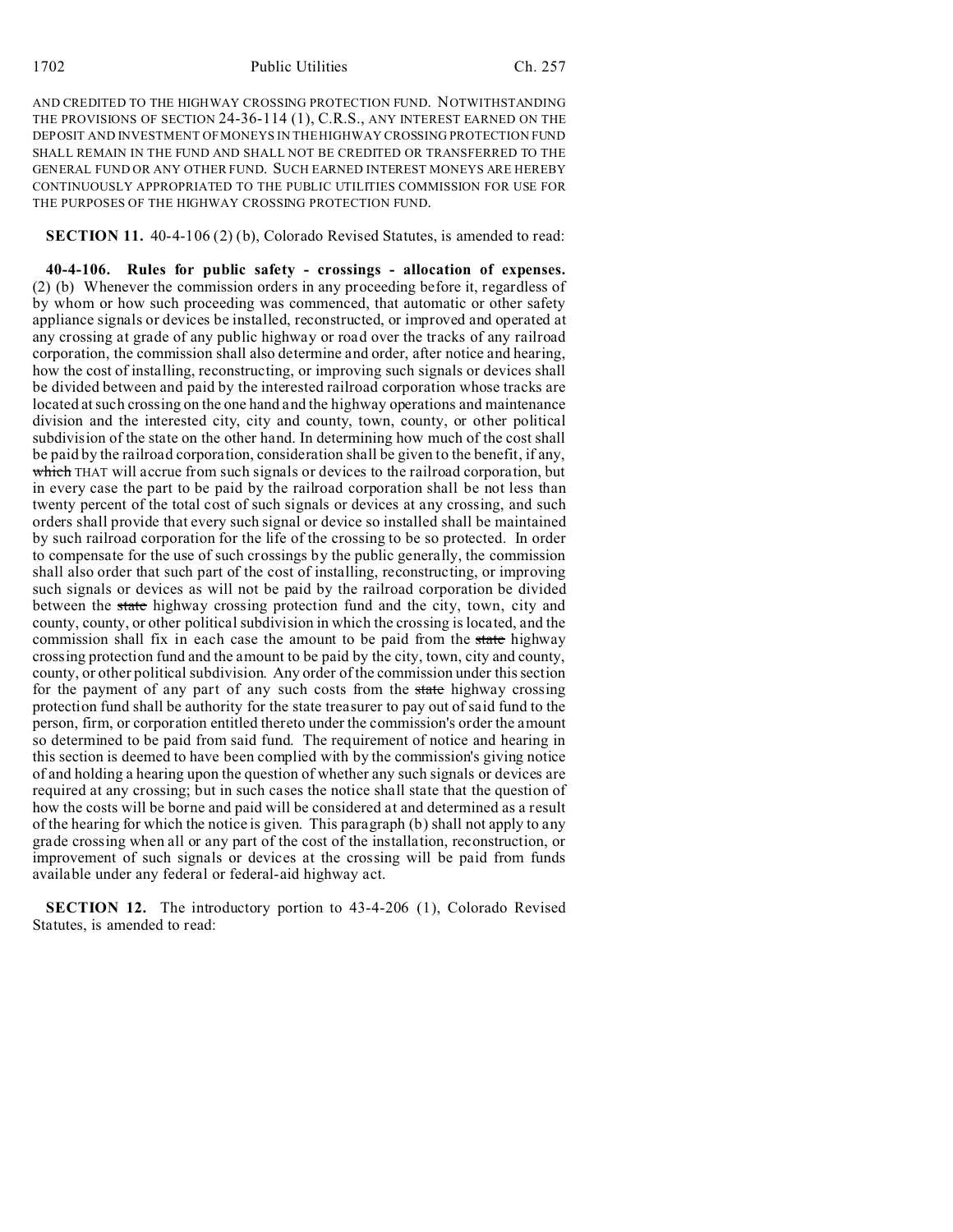1702 Public Utilities Ch. 257

AND CREDITED TO THE HIGHWAY CROSSING PROTECTION FUND. NOTWITHSTANDING THE PROVISIONS OF SECTION 24-36-114 (1), C.R.S., ANY INTEREST EARNED ON THE DEPOSIT AND INVESTMENT OF MONEYS IN THE HIGHWAY CROSSING PROTECTION FUND SHALL REMAIN IN THE FUND AND SHALL NOT BE CREDITED OR TRANSFERRED TO THE GENERAL FUND OR ANY OTHER FUND. SUCH EARNED INTEREST MONEYS ARE HEREBY CONTINUOUSLY APPROPRIATED TO THE PUBLIC UTILITIES COMMISSION FOR USE FOR THE PURPOSES OF THE HIGHWAY CROSSING PROTECTION FUND.

**SECTION 11.** 40-4-106 (2) (b), Colorado Revised Statutes, is amended to read:

**40-4-106. Rules for public safety - crossings - allocation of expenses.** (2) (b) Whenever the commission orders in any proceeding before it, regardless of by whom or how such proceeding was commenced, that automatic or other safety appliance signals or devices be installed, reconstructed, or improved and operated at any crossing at grade of any public highway or road over the tracks of any railroad corporation, the commission shall also determine and order, after notice and hearing, how the cost of installing, reconstructing, or improving such signals or devices shall be divided between and paid by the interested railroad corporation whose tracks are located at such crossing on the one hand and the highway operations and maintenance division and the interested city, city and county, town, county, or other political subdivision of the state on the other hand. In determining how much of the cost shall be paid by the railroad corporation, consideration shall be given to the benefit, if any, which THAT will accrue from such signals or devices to the railroad corporation, but in every case the part to be paid by the railroad corporation shall be not less than twenty percent of the total cost of such signals or devices at any crossing, and such orders shall provide that every such signal or device so installed shall be maintained by such railroad corporation for the life of the crossing to be so protected. In order to compensate for the use of such crossings by the public generally, the commission shall also order that such part of the cost of installing, reconstructing, or improving such signals or devices as will not be paid by the railroad corporation be divided between the state highway crossing protection fund and the city, town, city and county, county, or other political subdivision in which the crossing is located, and the commission shall fix in each case the amount to be paid from the state highway crossing protection fund and the amount to be paid by the city, town, city and county, county, or other political subdivision. Any order of the commission under this section for the payment of any part of any such costs from the state highway crossing protection fund shall be authority for the state treasurer to pay out of said fund to the person, firm, or corporation entitled thereto under the commission's order the amount so determined to be paid from said fund. The requirement of notice and hearing in this section is deemed to have been complied with by the commission's giving notice of and holding a hearing upon the question of whether any such signals or devices are required at any crossing; but in such cases the notice shall state that the question of how the costs will be borne and paid will be considered at and determined as a result of the hearing for which the notice is given. This paragraph (b) shall not apply to any grade crossing when all or any part of the cost of the installation, reconstruction, or improvement of such signals or devices at the crossing will be paid from funds available under any federal or federal-aid highway act.

**SECTION 12.** The introductory portion to 43-4-206 (1), Colorado Revised Statutes, is amended to read: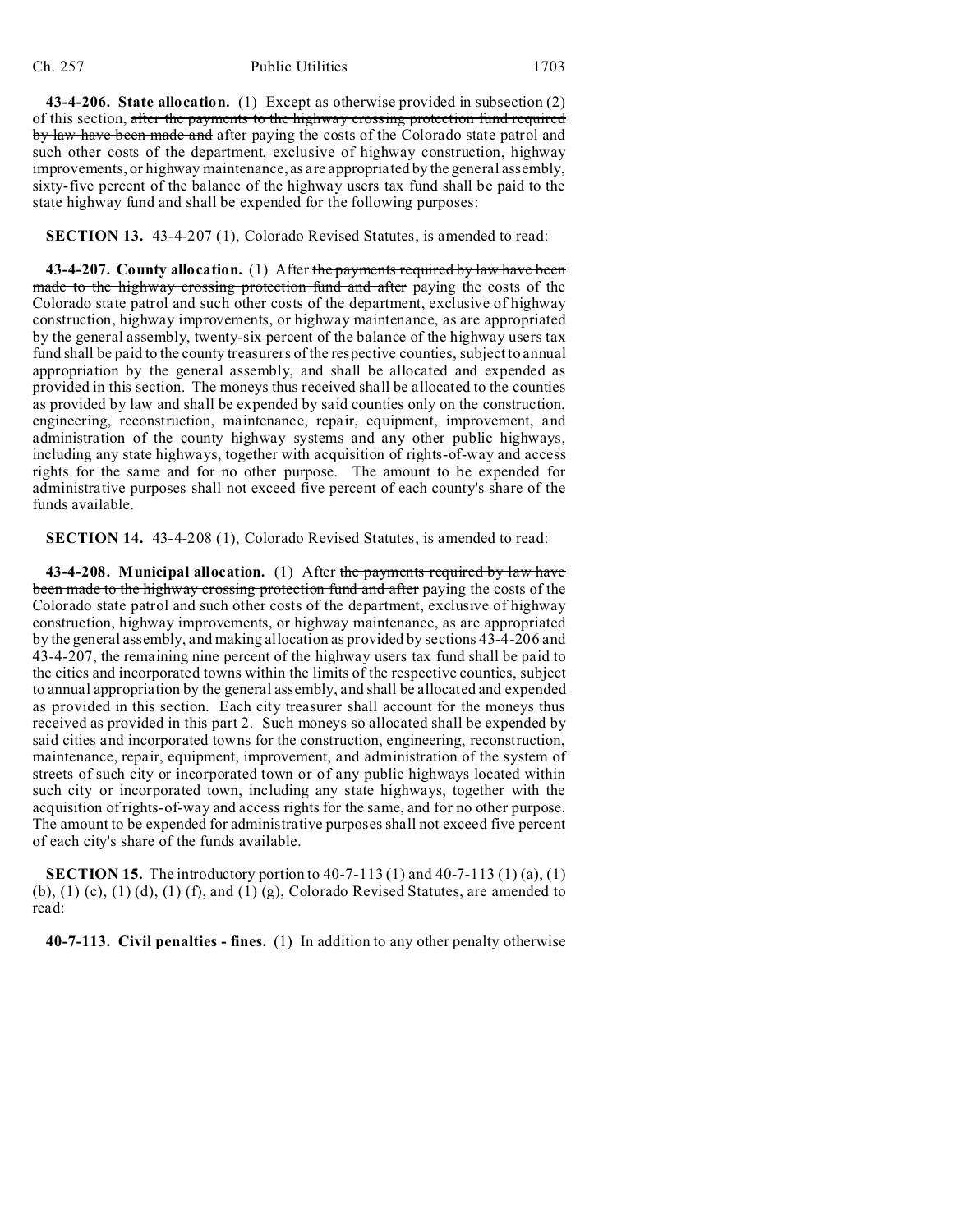**43-4-206. State allocation.** (1) Except as otherwise provided in subsection (2) of this section, after the payments to the highway crossing protection fund required by law have been made and after paying the costs of the Colorado state patrol and such other costs of the department, exclusive of highway construction, highway improvements, or highway maintenance, as are appropriated by the general assembly, sixty-five percent of the balance of the highway users tax fund shall be paid to the state highway fund and shall be expended for the following purposes:

**SECTION 13.** 43-4-207 (1), Colorado Revised Statutes, is amended to read:

**43-4-207. County allocation.** (1) After the payments required by law have been made to the highway crossing protection fund and after paying the costs of the Colorado state patrol and such other costs of the department, exclusive of highway construction, highway improvements, or highway maintenance, as are appropriated by the general assembly, twenty-six percent of the balance of the highway users tax fund shall be paid to the county treasurers of the respective counties, subject to annual appropriation by the general assembly, and shall be allocated and expended as provided in this section. The moneys thus received shall be allocated to the counties as provided by law and shall be expended by said counties only on the construction, engineering, reconstruction, maintenance, repair, equipment, improvement, and administration of the county highway systems and any other public highways, including any state highways, together with acquisition of rights-of-way and access rights for the same and for no other purpose. The amount to be expended for administrative purposes shall not exceed five percent of each county's share of the funds available.

**SECTION 14.** 43-4-208 (1), Colorado Revised Statutes, is amended to read:

**43-4-208. Municipal allocation.** (1) After the payments required by law have been made to the highway crossing protection fund and after paying the costs of the Colorado state patrol and such other costs of the department, exclusive of highway construction, highway improvements, or highway maintenance, as are appropriated by the general assembly, and making allocation as provided by sections 43-4-206 and 43-4-207, the remaining nine percent of the highway users tax fund shall be paid to the cities and incorporated towns within the limits of the respective counties, subject to annual appropriation by the general assembly, and shall be allocated and expended as provided in this section. Each city treasurer shall account for the moneys thus received as provided in this part 2. Such moneys so allocated shall be expended by said cities and incorporated towns for the construction, engineering, reconstruction, maintenance, repair, equipment, improvement, and administration of the system of streets of such city or incorporated town or of any public highways located within such city or incorporated town, including any state highways, together with the acquisition of rights-of-way and access rights for the same, and for no other purpose. The amount to be expended for administrative purposes shall not exceed five percent of each city's share of the funds available.

**SECTION 15.** The introductory portion to 40-7-113 (1) and 40-7-113 (1) (a), (1) (b), (1) (c), (1) (d), (1) (f), and (1) (g), Colorado Revised Statutes, are amended to read:

**40-7-113. Civil penalties - fines.** (1) In addition to any other penalty otherwise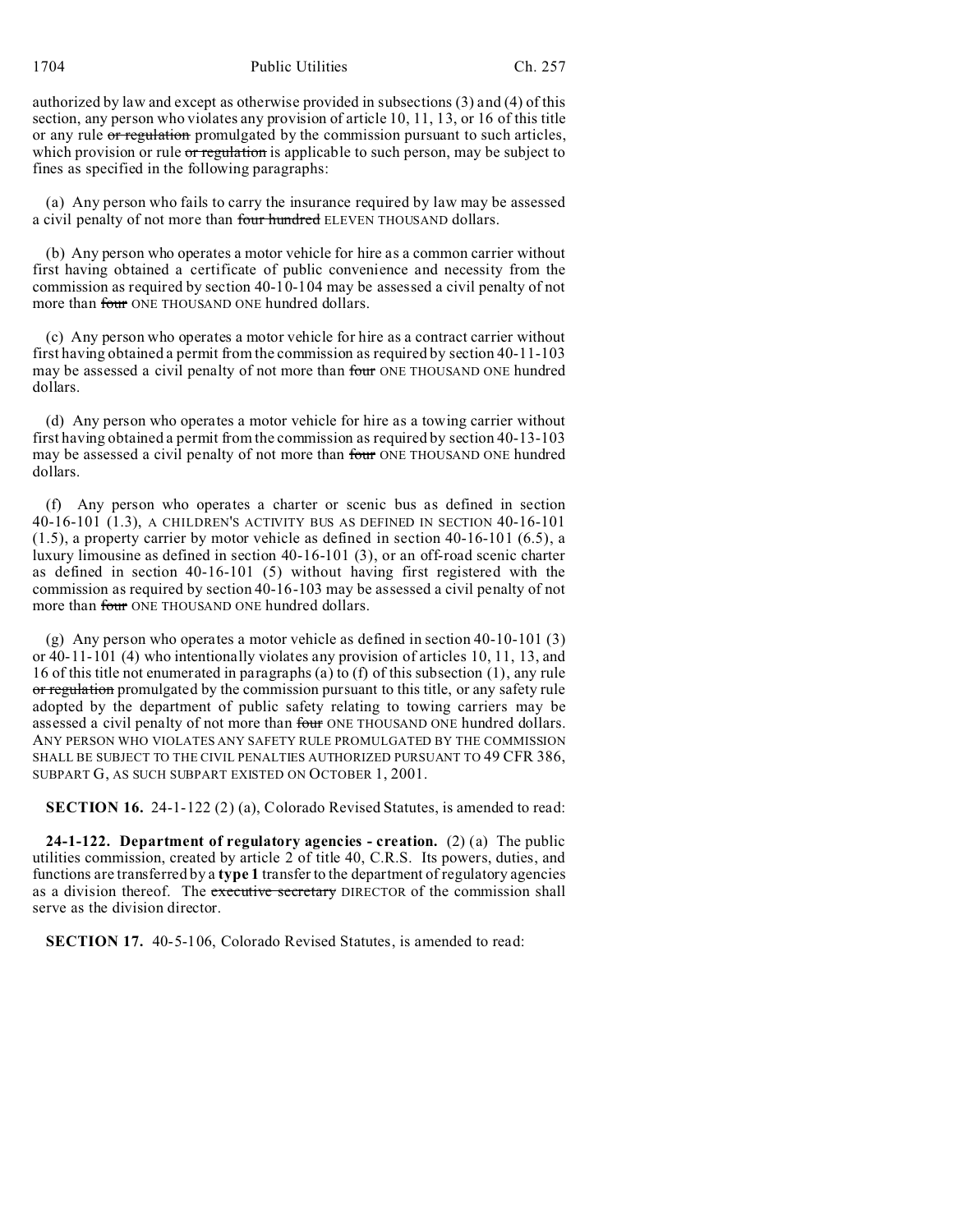1704 Public Utilities Ch. 257

authorized by law and except as otherwise provided in subsections (3) and (4) of this section, any person who violates any provision of article 10, 11, 13, or 16 of this title or any rule or regulation promulgated by the commission pursuant to such articles, which provision or rule or regulation is applicable to such person, may be subject to fines as specified in the following paragraphs:

(a) Any person who fails to carry the insurance required by law may be assessed a civil penalty of not more than four hundred ELEVEN THOUSAND dollars.

(b) Any person who operates a motor vehicle for hire as a common carrier without first having obtained a certificate of public convenience and necessity from the commission as required by section 40-10-104 may be assessed a civil penalty of not more than four ONE THOUSAND ONE hundred dollars.

(c) Any person who operates a motor vehicle for hire as a contract carrier without first having obtained a permit from the commission as required by section 40-11-103 may be assessed a civil penalty of not more than four ONE THOUSAND ONE hundred dollars.

(d) Any person who operates a motor vehicle for hire as a towing carrier without first having obtained a permit from the commission as required by section 40-13-103 may be assessed a civil penalty of not more than four ONE THOUSAND ONE hundred dollars.

(f) Any person who operates a charter or scenic bus as defined in section 40-16-101 (1.3), A CHILDREN'S ACTIVITY BUS AS DEFINED IN SECTION 40-16-101 (1.5), a property carrier by motor vehicle as defined in section 40-16-101 (6.5), a luxury limousine as defined in section 40-16-101 (3), or an off-road scenic charter as defined in section 40-16-101 (5) without having first registered with the commission as required by section 40-16-103 may be assessed a civil penalty of not more than four ONE THOUSAND ONE hundred dollars.

(g) Any person who operates a motor vehicle as defined in section 40-10-101 (3) or 40-11-101 (4) who intentionally violates any provision of articles 10, 11, 13, and 16 of this title not enumerated in paragraphs (a) to (f) of this subsection (1), any rule or regulation promulgated by the commission pursuant to this title, or any safety rule adopted by the department of public safety relating to towing carriers may be assessed a civil penalty of not more than four ONE THOUSAND ONE hundred dollars. ANY PERSON WHO VIOLATES ANY SAFETY RULE PROMULGATED BY THE COMMISSION SHALL BE SUBJECT TO THE CIVIL PENALTIES AUTHORIZED PURSUANT TO 49 CFR 386, SUBPART G, AS SUCH SUBPART EXISTED ON OCTOBER 1, 2001.

**SECTION 16.** 24-1-122 (2) (a), Colorado Revised Statutes, is amended to read:

**24-1-122. Department of regulatory agencies - creation.** (2) (a) The public utilities commission, created by article 2 of title 40, C.R.S. Its powers, duties, and functions are transferred by a **type 1** transfer to the department of regulatory agencies as a division thereof. The executive secretary DIRECTOR of the commission shall serve as the division director.

**SECTION 17.** 40-5-106, Colorado Revised Statutes, is amended to read: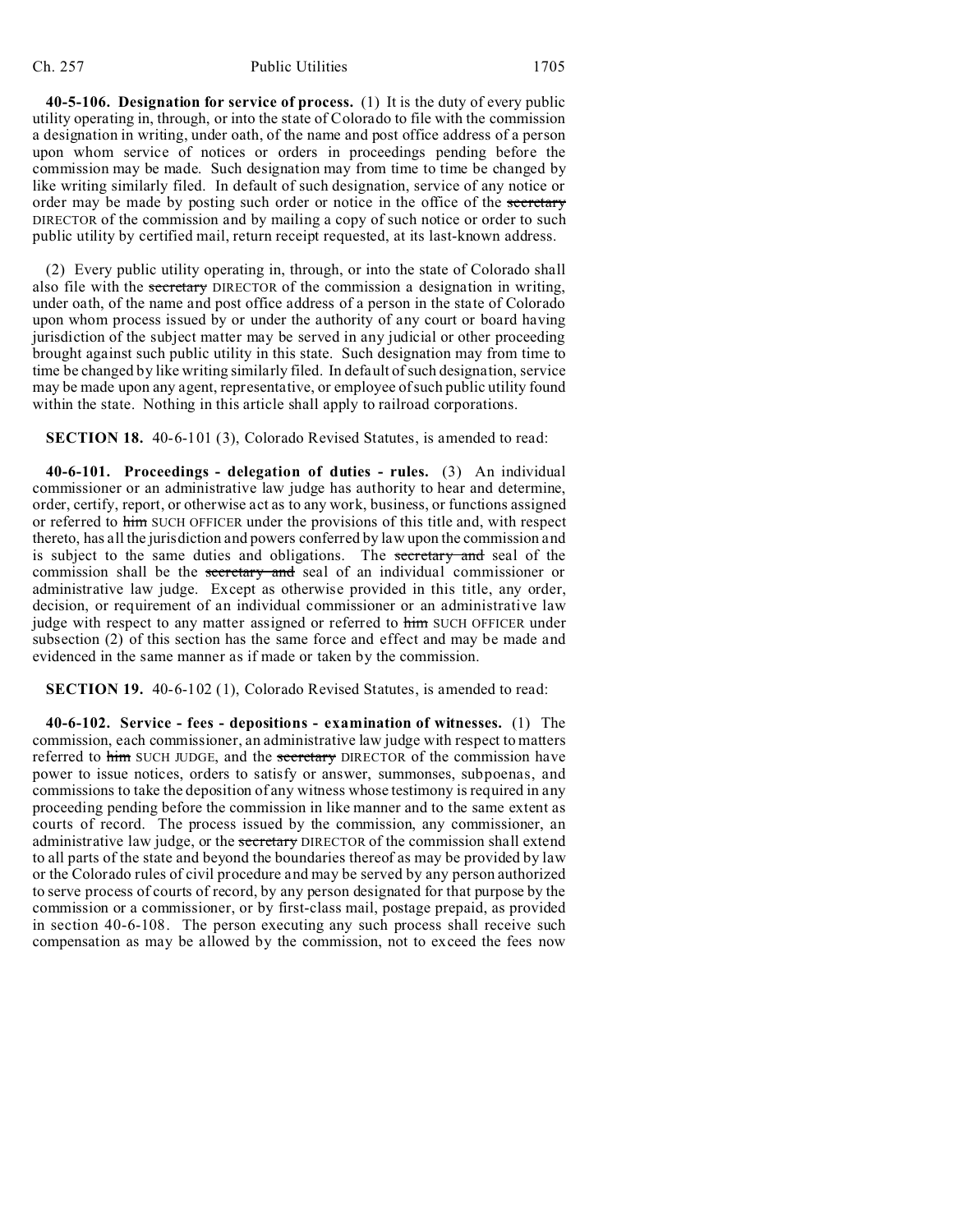## Ch. 257 Public Utilities 1705

**40-5-106. Designation for service of process.** (1) It is the duty of every public utility operating in, through, or into the state of Colorado to file with the commission a designation in writing, under oath, of the name and post office address of a person upon whom service of notices or orders in proceedings pending before the commission may be made. Such designation may from time to time be changed by like writing similarly filed. In default of such designation, service of any notice or order may be made by posting such order or notice in the office of the secretary DIRECTOR of the commission and by mailing a copy of such notice or order to such public utility by certified mail, return receipt requested, at its last-known address.

(2) Every public utility operating in, through, or into the state of Colorado shall also file with the secretary DIRECTOR of the commission a designation in writing, under oath, of the name and post office address of a person in the state of Colorado upon whom process issued by or under the authority of any court or board having jurisdiction of the subject matter may be served in any judicial or other proceeding brought against such public utility in this state. Such designation may from time to time be changed by like writing similarly filed. In default of such designation, service may be made upon any agent, representative, or employee of such public utility found within the state. Nothing in this article shall apply to railroad corporations.

**SECTION 18.** 40-6-101 (3), Colorado Revised Statutes, is amended to read:

**40-6-101. Proceedings - delegation of duties - rules.** (3) An individual commissioner or an administrative law judge has authority to hear and determine, order, certify, report, or otherwise act as to any work, business, or functions assigned or referred to him SUCH OFFICER under the provisions of this title and, with respect thereto, has all the jurisdiction and powers conferred by law upon the commission and is subject to the same duties and obligations. The secretary and seal of the commission shall be the secretary and seal of an individual commissioner or administrative law judge. Except as otherwise provided in this title, any order, decision, or requirement of an individual commissioner or an administrative law judge with respect to any matter assigned or referred to him SUCH OFFICER under subsection (2) of this section has the same force and effect and may be made and evidenced in the same manner as if made or taken by the commission.

**SECTION 19.** 40-6-102 (1), Colorado Revised Statutes, is amended to read:

**40-6-102. Service - fees - depositions - examination of witnesses.** (1) The commission, each commissioner, an administrative law judge with respect to matters referred to him SUCH JUDGE, and the secretary DIRECTOR of the commission have power to issue notices, orders to satisfy or answer, summonses, subpoenas, and commissions to take the deposition of any witness whose testimony is required in any proceeding pending before the commission in like manner and to the same extent as courts of record. The process issued by the commission, any commissioner, an administrative law judge, or the secretary DIRECTOR of the commission shall extend to all parts of the state and beyond the boundaries thereof as may be provided by law or the Colorado rules of civil procedure and may be served by any person authorized to serve process of courts of record, by any person designated for that purpose by the commission or a commissioner, or by first-class mail, postage prepaid, as provided in section 40-6-108. The person executing any such process shall receive such compensation as may be allowed by the commission, not to exceed the fees now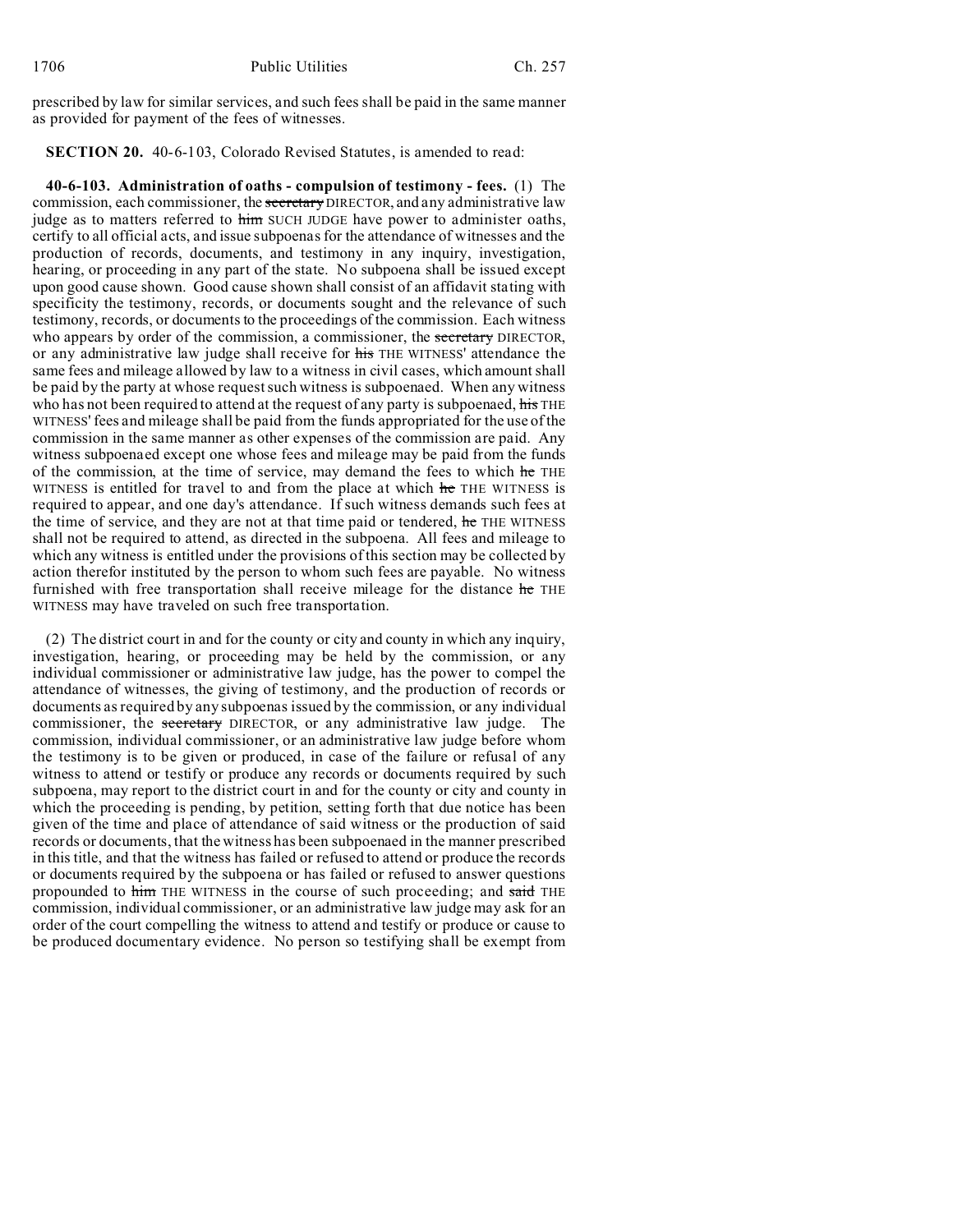prescribed by law for similar services, and such fees shall be paid in the same manner as provided for payment of the fees of witnesses.

**SECTION 20.** 40-6-103, Colorado Revised Statutes, is amended to read:

**40-6-103. Administration of oaths - compulsion of testimony - fees.** (1) The commission, each commissioner, the secretary DIRECTOR, and any administrative law judge as to matters referred to him SUCH JUDGE have power to administer oaths, certify to all official acts, and issue subpoenas for the attendance of witnesses and the production of records, documents, and testimony in any inquiry, investigation, hearing, or proceeding in any part of the state. No subpoena shall be issued except upon good cause shown. Good cause shown shall consist of an affidavit stating with specificity the testimony, records, or documents sought and the relevance of such testimony, records, or documents to the proceedings of the commission. Each witness who appears by order of the commission, a commissioner, the secretary DIRECTOR, or any administrative law judge shall receive for his THE WITNESS' attendance the same fees and mileage allowed by law to a witness in civil cases, which amount shall be paid by the party at whose request such witness is subpoenaed. When any witness who has not been required to attend at the request of any party is subpoenaed, his THE WITNESS' fees and mileage shall be paid from the funds appropriated for the use of the commission in the same manner as other expenses of the commission are paid. Any witness subpoenaed except one whose fees and mileage may be paid from the funds of the commission, at the time of service, may demand the fees to which he THE WITNESS is entitled for travel to and from the place at which he THE WITNESS is required to appear, and one day's attendance. If such witness demands such fees at the time of service, and they are not at that time paid or tendered, he THE WITNESS shall not be required to attend, as directed in the subpoena. All fees and mileage to which any witness is entitled under the provisions of this section may be collected by action therefor instituted by the person to whom such fees are payable. No witness furnished with free transportation shall receive mileage for the distance he THE WITNESS may have traveled on such free transportation.

(2) The district court in and for the county or city and county in which any inquiry, investigation, hearing, or proceeding may be held by the commission, or any individual commissioner or administrative law judge, has the power to compel the attendance of witnesses, the giving of testimony, and the production of records or documents as required by any subpoenas issued by the commission, or any individual commissioner, the secretary DIRECTOR, or any administrative law judge. The commission, individual commissioner, or an administrative law judge before whom the testimony is to be given or produced, in case of the failure or refusal of any witness to attend or testify or produce any records or documents required by such subpoena, may report to the district court in and for the county or city and county in which the proceeding is pending, by petition, setting forth that due notice has been given of the time and place of attendance of said witness or the production of said records or documents, that the witness has been subpoenaed in the manner prescribed in this title, and that the witness has failed or refused to attend or produce the records or documents required by the subpoena or has failed or refused to answer questions propounded to him THE WITNESS in the course of such proceeding; and said THE commission, individual commissioner, or an administrative law judge may ask for an order of the court compelling the witness to attend and testify or produce or cause to be produced documentary evidence. No person so testifying shall be exempt from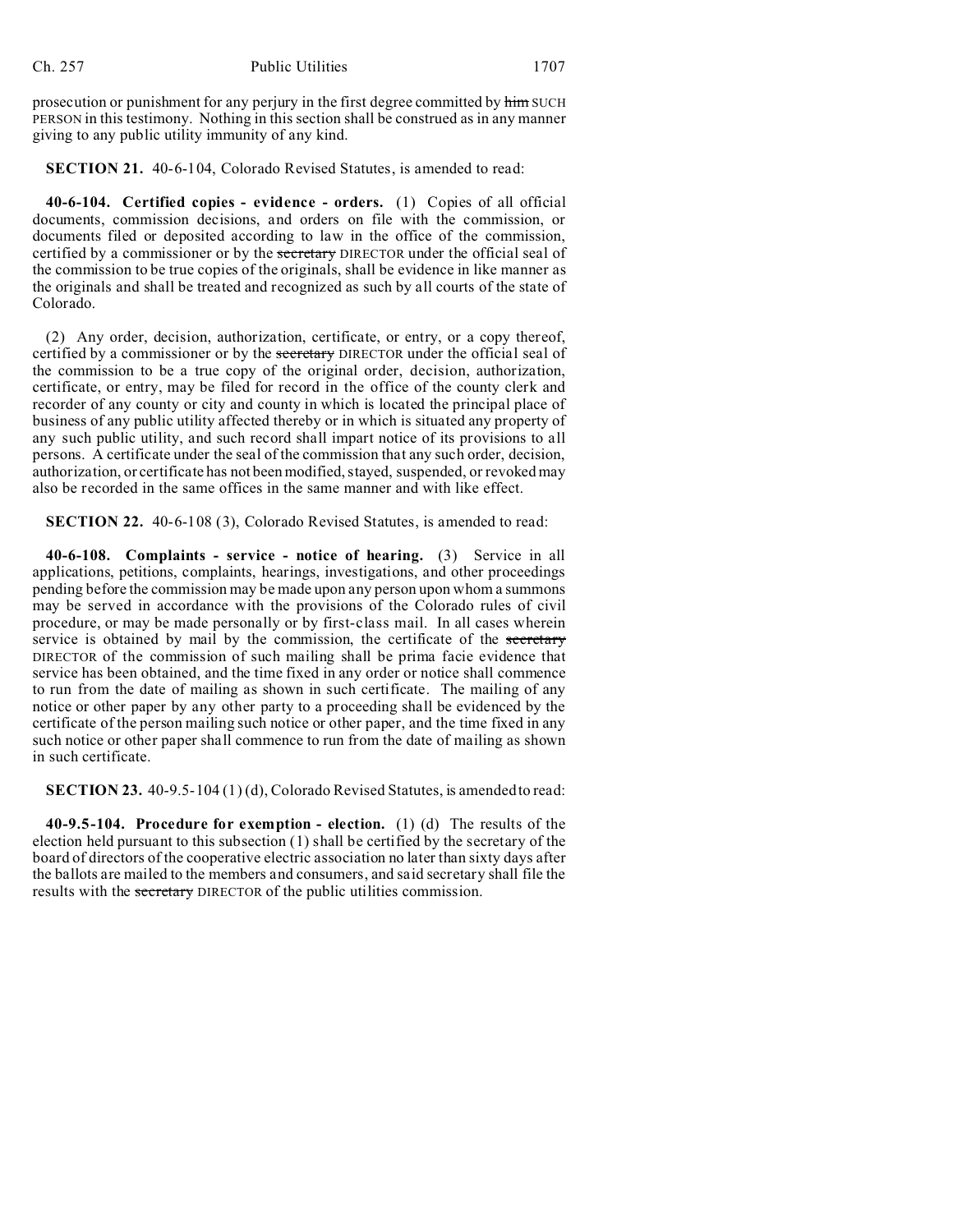prosecution or punishment for any perjury in the first degree committed by him SUCH PERSON in this testimony. Nothing in this section shall be construed as in any manner giving to any public utility immunity of any kind.

**SECTION 21.** 40-6-104, Colorado Revised Statutes, is amended to read:

**40-6-104. Certified copies - evidence - orders.** (1) Copies of all official documents, commission decisions, and orders on file with the commission, or documents filed or deposited according to law in the office of the commission, certified by a commissioner or by the secretary DIRECTOR under the official seal of the commission to be true copies of the originals, shall be evidence in like manner as the originals and shall be treated and recognized as such by all courts of the state of Colorado.

(2) Any order, decision, authorization, certificate, or entry, or a copy thereof, certified by a commissioner or by the secretary DIRECTOR under the official seal of the commission to be a true copy of the original order, decision, authorization, certificate, or entry, may be filed for record in the office of the county clerk and recorder of any county or city and county in which is located the principal place of business of any public utility affected thereby or in which is situated any property of any such public utility, and such record shall impart notice of its provisions to all persons. A certificate under the seal of the commission that any such order, decision, authorization, or certificate has not been modified, stayed, suspended, or revoked may also be recorded in the same offices in the same manner and with like effect.

**SECTION 22.** 40-6-108 (3), Colorado Revised Statutes, is amended to read:

**40-6-108. Complaints - service - notice of hearing.** (3) Service in all applications, petitions, complaints, hearings, investigations, and other proceedings pending before the commission may be made upon any person upon whom a summons may be served in accordance with the provisions of the Colorado rules of civil procedure, or may be made personally or by first-class mail. In all cases wherein service is obtained by mail by the commission, the certificate of the secretary DIRECTOR of the commission of such mailing shall be prima facie evidence that service has been obtained, and the time fixed in any order or notice shall commence to run from the date of mailing as shown in such certificate. The mailing of any notice or other paper by any other party to a proceeding shall be evidenced by the certificate of the person mailing such notice or other paper, and the time fixed in any such notice or other paper shall commence to run from the date of mailing as shown in such certificate.

**SECTION 23.** 40-9.5-104 (1) (d), Colorado Revised Statutes, is amended to read:

**40-9.5-104. Procedure for exemption - election.** (1) (d) The results of the election held pursuant to this subsection (1) shall be certified by the secretary of the board of directors of the cooperative electric association no later than sixty days after the ballots are mailed to the members and consumers, and said secretary shall file the results with the secretary DIRECTOR of the public utilities commission.